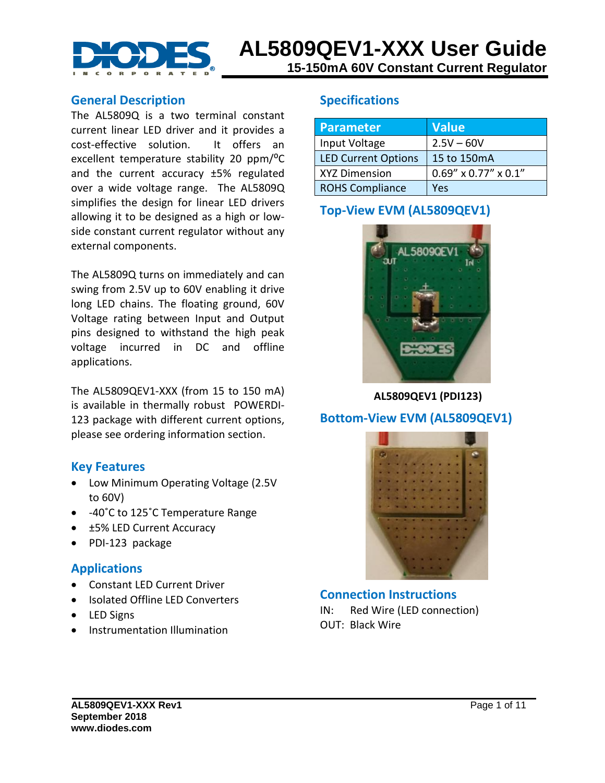

#### **General Description**

The AL5809Q is a two terminal constant current linear LED driver and it provides a cost-effective solution. It offers an excellent temperature stability 20 ppm/<sup>o</sup>C and the current accuracy ±5% regulated over a wide voltage range. The AL5809Q simplifies the design for linear LED drivers allowing it to be designed as a high or lowside constant current regulator without any external components.

The AL5809Q turns on immediately and can swing from 2.5V up to 60V enabling it drive long LED chains. The floating ground, 60V Voltage rating between Input and Output pins designed to withstand the high peak voltage incurred in DC and offline applications.

The AL5809QEV1-XXX (from 15 to 150 mA) is available in thermally robust POWERDI-123 package with different current options, please see ordering information section.

#### **Key Features**

- Low Minimum Operating Voltage (2.5V to 60V)
- -40°C to 125°C Temperature Range
- ±5% LED Current Accuracy
- PDI-123 package

#### **Applications**

- Constant LED Current Driver
- Isolated Offline LED Converters
- LED Signs
- Instrumentation Illumination

#### **Specifications**

| Parameter                  | <b>Value</b>            |
|----------------------------|-------------------------|
| Input Voltage              | $2.5V - 60V$            |
| <b>LED Current Options</b> | 15 to 150mA             |
| <b>XYZ Dimension</b>       | $0.69''$ x 0.77" x 0.1" |
| <b>ROHS Compliance</b>     | Yes                     |

### **Top-View EVM (AL5809QEV1)**



 **AL5809QEV1 (PDI123)**

#### **Bottom-View EVM (AL5809QEV1)**



**Connection Instructions** IN: Red Wire (LED connection) OUT: Black Wire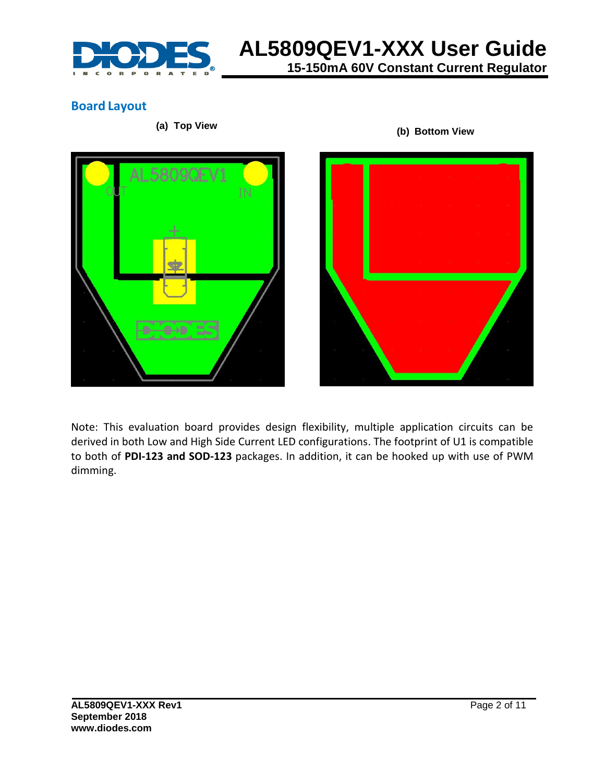

# **AL5809QEV1-XXX User Guide 15-150mA 60V Constant Current Regulator**

**Board Layout**

**(a) Top View (b) Bottom View**





Note: This evaluation board provides design flexibility, multiple application circuits can be derived in both Low and High Side Current LED configurations. The footprint of U1 is compatible to both of **PDI-123 and SOD-123** packages. In addition, it can be hooked up with use of PWM dimming.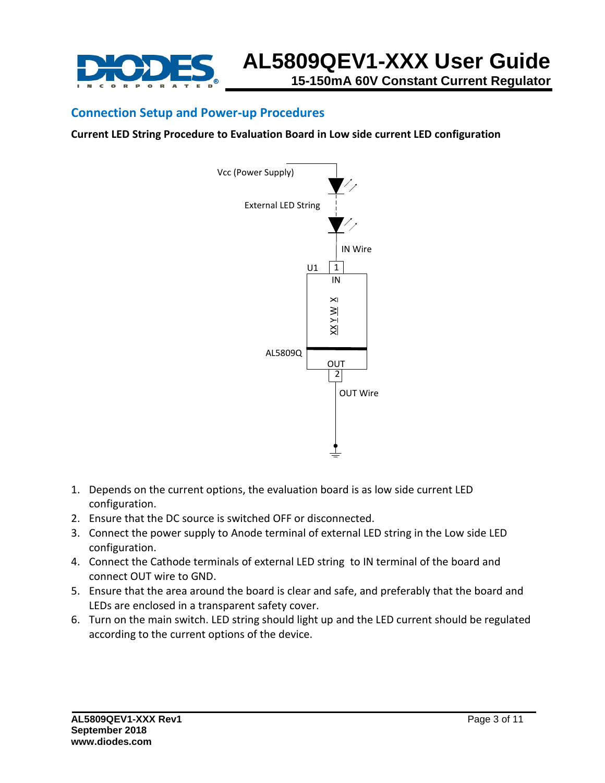

#### **Connection Setup and Power-up Procedures**

**Current LED String Procedure to Evaluation Board in Low side current LED configuration** 



- 1. Depends on the current options, the evaluation board is as low side current LED configuration.
- 2. Ensure that the DC source is switched OFF or disconnected.
- 3. Connect the power supply to Anode terminal of external LED string in the Low side LED configuration.
- 4. Connect the Cathode terminals of external LED string to IN terminal of the board and connect OUT wire to GND.
- 5. Ensure that the area around the board is clear and safe, and preferably that the board and LEDs are enclosed in a transparent safety cover.
- 6. Turn on the main switch. LED string should light up and the LED current should be regulated according to the current options of the device.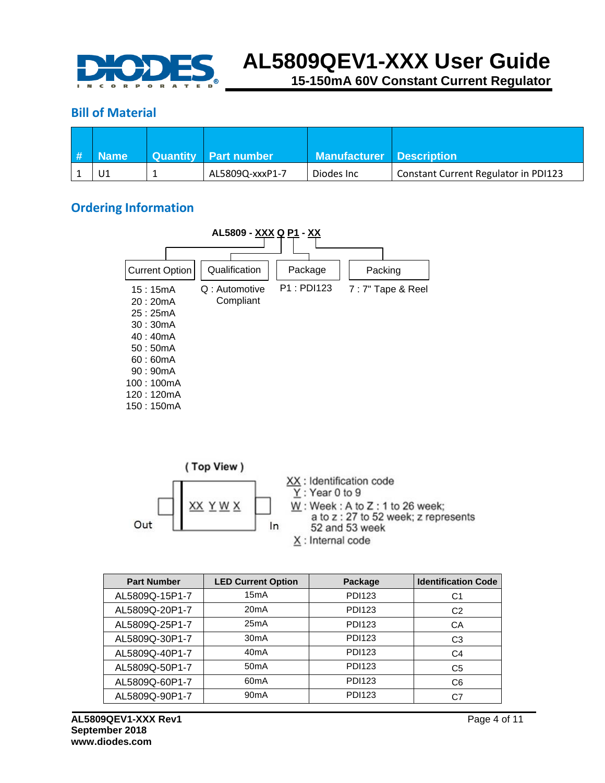

**15-150mA 60V Constant Current Regulator**

#### **Bill of Material**

| -# | <b>Name</b> | Quantity   Part number | <b>Manufacturer Description</b> |                                      |
|----|-------------|------------------------|---------------------------------|--------------------------------------|
|    |             | AL5809Q-xxxP1-7        | Diodes Inc                      | Constant Current Regulator in PDI123 |

### **Ordering Information**





| <b>Part Number</b> | <b>LED Current Option</b> | Package       | <b>Identification Code</b> |
|--------------------|---------------------------|---------------|----------------------------|
| AL5809Q-15P1-7     | 15mA                      | <b>PDI123</b> | C1                         |
| AL5809Q-20P1-7     | 20mA                      | <b>PDI123</b> | C <sub>2</sub>             |
| AL5809Q-25P1-7     | 25mA                      | <b>PDI123</b> | CA                         |
| AL5809Q-30P1-7     | 30mA                      | <b>PDI123</b> | C <sub>3</sub>             |
| AL5809Q-40P1-7     | 40mA                      | <b>PDI123</b> | C4                         |
| AL5809Q-50P1-7     | 50 <sub>m</sub> A         | <b>PDI123</b> | C <sub>5</sub>             |
| AL5809Q-60P1-7     | 60 <sub>m</sub> A         | <b>PDI123</b> | C6                         |
| AL5809Q-90P1-7     | 90 <sub>m</sub> A         | <b>PDI123</b> | C7                         |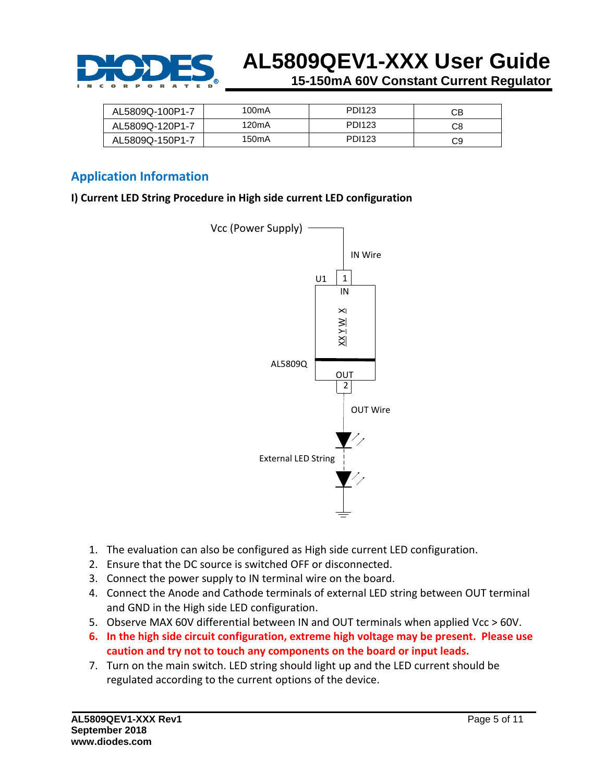

**15-150mA 60V Constant Current Regulator**

| AL5809Q-100P1-7 | 100 <sub>m</sub> A | PDI123 | CВ |
|-----------------|--------------------|--------|----|
| AL5809Q-120P1-7 | 120 <sub>m</sub> A | PDI123 | C8 |
| AL5809Q-150P1-7 | 150 <sub>m</sub> A | PDI123 | C9 |

#### **Application Information**

**I) Current LED String Procedure in High side current LED configuration** 



- 1. The evaluation can also be configured as High side current LED configuration.
- 2. Ensure that the DC source is switched OFF or disconnected.
- 3. Connect the power supply to IN terminal wire on the board.
- 4. Connect the Anode and Cathode terminals of external LED string between OUT terminal and GND in the High side LED configuration.
- 5. Observe MAX 60V differential between IN and OUT terminals when applied Vcc > 60V.
- **6. In the high side circuit configuration, extreme high voltage may be present. Please use caution and try not to touch any components on the board or input leads.**
- 7. Turn on the main switch. LED string should light up and the LED current should be regulated according to the current options of the device.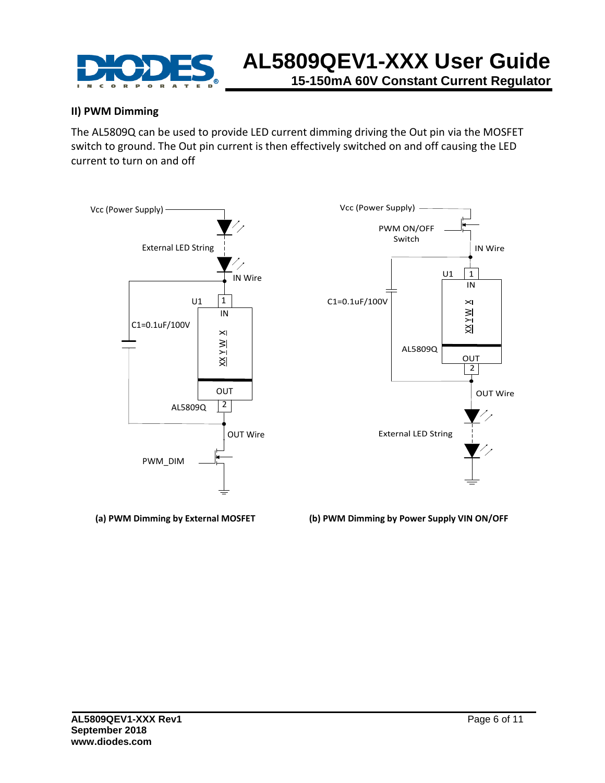

#### **II) PWM Dimming**

The AL5809Q can be used to provide LED current dimming driving the Out pin via the MOSFET switch to ground. The Out pin current is then effectively switched on and off causing the LED current to turn on and off



**(a) PWM Dimming by External MOSFET (b) PWM Dimming by Power Supply VIN ON/OFF**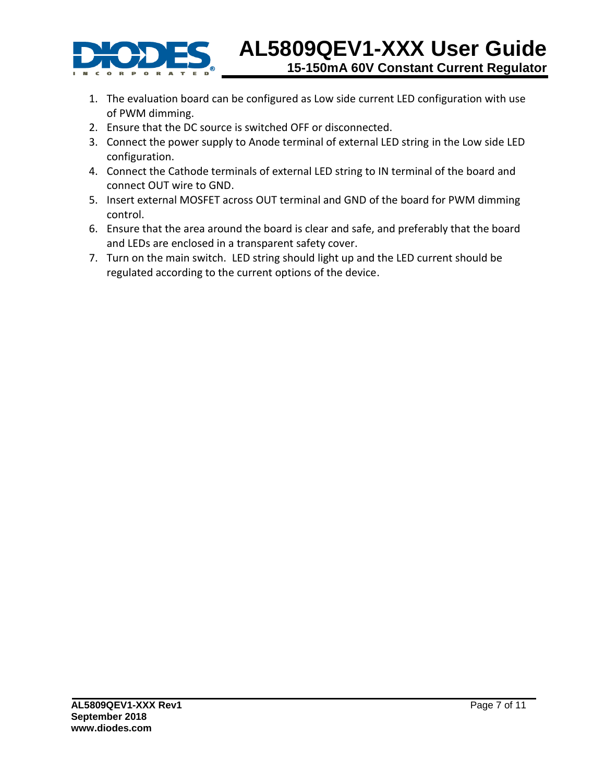

- 1. The evaluation board can be configured as Low side current LED configuration with use of PWM dimming.
- 2. Ensure that the DC source is switched OFF or disconnected.
- 3. Connect the power supply to Anode terminal of external LED string in the Low side LED configuration.
- 4. Connect the Cathode terminals of external LED string to IN terminal of the board and connect OUT wire to GND.
- 5. Insert external MOSFET across OUT terminal and GND of the board for PWM dimming control.
- 6. Ensure that the area around the board is clear and safe, and preferably that the board and LEDs are enclosed in a transparent safety cover.
- 7. Turn on the main switch. LED string should light up and the LED current should be regulated according to the current options of the device.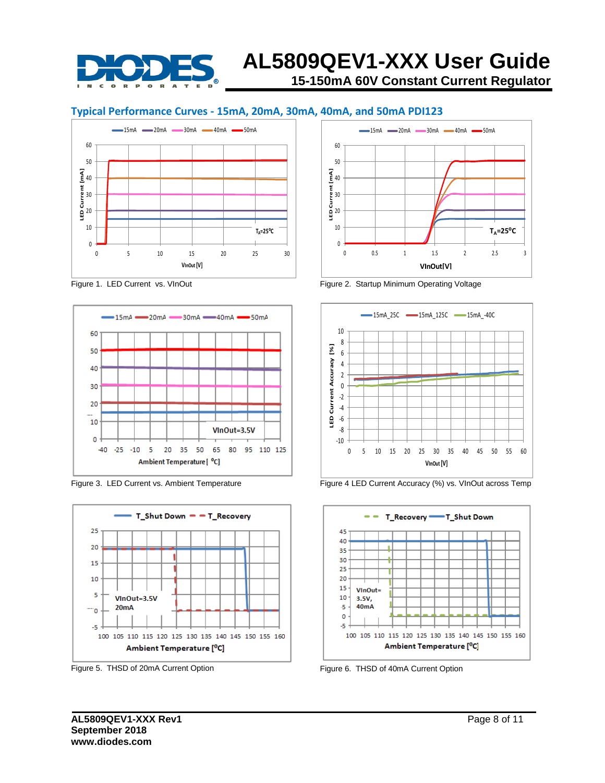

## **AL5809QEV1-XXX User Guide 15-150mA 60V Constant Current Regulator**

#### **Typical Performance Curves - 15mA, 20mA, 30mA, 40mA, and 50mA PDI123**



Figure 1. LED Current vs. VInOut



Figure 3. LED Current vs. Ambient Temperature



Figure 5. THSD of 20mA Current Option



Figure 2. Startup Minimum Operating Voltage





Figure 6. THSD of 40mA Current Option

Figure 4 LED Current Accuracy (%) vs. VInOut across Temp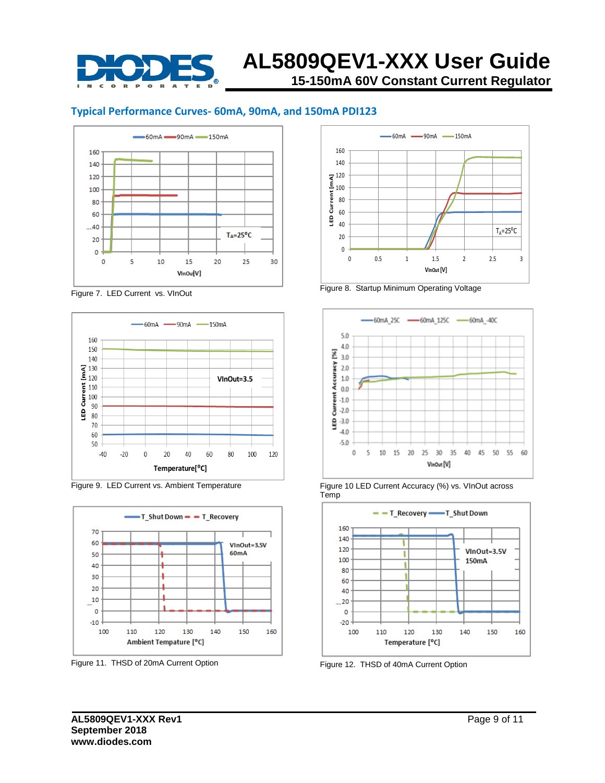

## **AL5809QEV1-XXX User Guide 15-150mA 60V Constant Current Regulator**

#### **Typical Performance Curves- 60mA, 90mA, and 150mA PDI123**



Figure 7. LED Current vs. VInOut



Figure 9. LED Current vs. Ambient Temperature



Figure 11. THSD of 20mA Current Option



Figure 8. Startup Minimum Operating Voltage



Figure 10 LED Current Accuracy (%) vs. VInOut across Temp



Figure 12. THSD of 40mA Current Option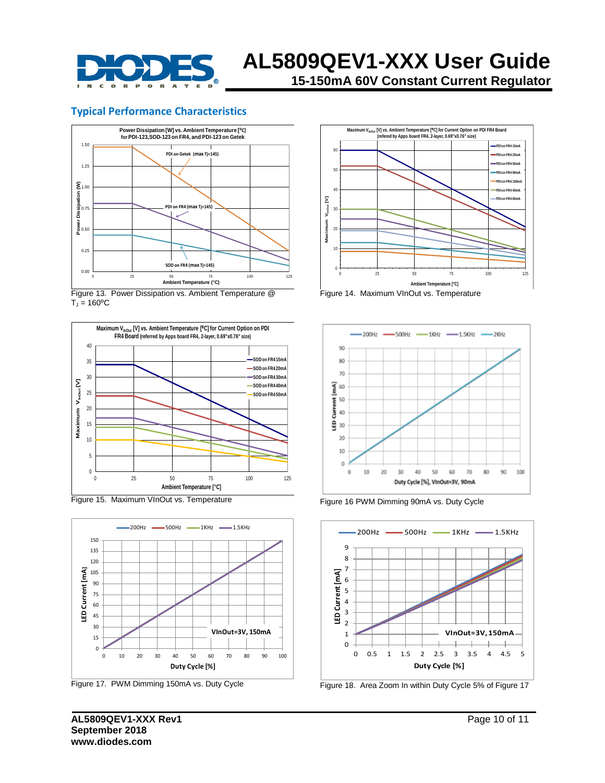

**15-150mA 60V Constant Current Regulator**

#### **Typical Performance Characteristics**



 $T_J = 160$ <sup>o</sup>C



Figure 15. Maximum VInOut vs. Temperature



Figure 17. PWM Dimming 150mA vs. Duty Cycle



Figure 14. Maximum VInOut vs. Temperature



Figure 16 PWM Dimming 90mA vs. Duty Cycle



Figure 18. Area Zoom In within Duty Cycle 5% of Figure 17